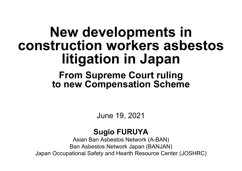# **New developments in construction workers asbestos litigation in Japan**

#### **From Supreme Court ruling to new Compensation Scheme**

June 19, 2021

#### **Sugio FURUYA**

Asian Ban Asbestos Network (A-BAN) Ban Asbestos Network Japan (BANJAN) Japan Occupational Safety and Hearth Resource Center (JOSHRC)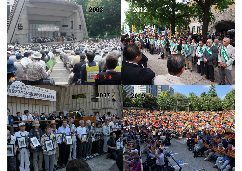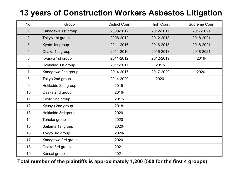#### **13 years of Construction Workers Asbestos Litigation**

| No.             | Group              | <b>District Court</b> | <b>High Court</b> | <b>Supreme Court</b> |
|-----------------|--------------------|-----------------------|-------------------|----------------------|
| $\mathbf 1$     | Kanagawa 1st group | 2008-2012             | 2012-2017         | 2017-2021            |
| 2 <sup>1</sup>  | Tokyo 1st group    | 2008-2012             | 2012-2018         | 2018-2021            |
| $\overline{3}$  | Kyoto 1st group    | 2011-2016             | 2016-2018         | 2018-2021            |
| $\overline{4}$  | Osaka 1st group    | 2011-2016             | 2016-2018         | 2018-2021            |
| $5\overline{)}$ | Kyusyu 1st group   | 2011-2012             | 2012-2019         | 2019-                |
| 6               | Hokkaido 1st group | 2011-2017             | 2017-             |                      |
| $\overline{7}$  | Kanagawa 2nd group | 2014-2017             | 2017-2020         | 2020-                |
| 8               | Tokyo 2nd group    | 2014-2020             | 2020-             |                      |
| 9               | Hokkaido 2nd group | 2015-                 |                   |                      |
| 10              | Osaka 2nd group    | 2016-                 |                   |                      |
| 11              | Kyoto 2nd group    | 2017-                 |                   |                      |
| 12              | Kyusyu 2nd group   | 2018-                 |                   |                      |
| 13              | Hokkaido 3rd group | 2020-                 |                   |                      |
| 14              | Tohoku group       | 2020-                 |                   |                      |
| 15              | Saitama 1st group  | 2020-                 |                   |                      |
| 16              | Tokyo 3rd group    | 2020-                 |                   |                      |
| 17              | Kanagawa 3rd group | 2020-                 |                   |                      |
| 18              | Osaka 3rd group    | $2021 -$              |                   |                      |
| 19              | Kansai group       | $2021 -$              |                   |                      |

**Total number of the plaintiffs is approximately 1,200 (500 for the first 4 groups)**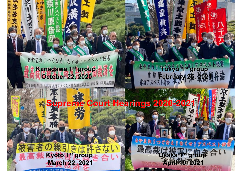あやまれ!つぐなえ!なくせ!アメベスト被害 **Kanagawa 1 Kanagawa 1st group October 22, 2020 October 22, 2020** 首都圏建設アスベスト神奈川1陣訴

あやまれ! Tokyo 4sty J7スペスト被害 都 **February 25, 2021** 

**Supreme Court Hearings 2020 Supreme Court Hearings 2020-2021**

の線引きは許さな **March 22, 2021 March 22, 2021**

त्रह

高やまれ !っぐなえ なくせりアスペスト機器  $\mathbf{R}$ **Osaka 1 Osaka 1st group April 19, 2021 April 19, 2021**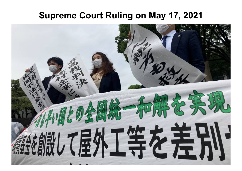#### **Supreme Court Ruling on May 17, 2021**

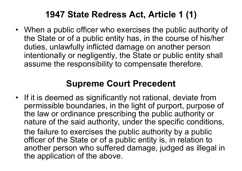#### **1947 State Redress Act, Article 1 (1)**

• When a public officer who exercises the public authority of the State or of a public entity has, in the course of his/her duties, unlawfully inflicted damage on another person intentionally or negligently, the State or public entity shall assume the responsibility to compensate therefore.

#### **Supreme Court Precedent**

• If it is deemed as significantly not rational, deviate from permissible boundaries, in the light of purport, purpose of the law or ordinance prescribing the public authority or nature of the said authority, under the specific conditions, the failure to exercises the public authority by a public officer of the State or of a public entity is, in relation to another person who suffered damage, judged as illegal in the application of the above.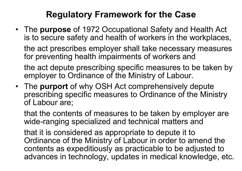#### **Regulatory Framework for the Case**

- The **purpose** of 1972 Occupational Safety and Health Act is to secure safety and health of workers in the workplaces, the act prescribes employer shall take necessary measures for preventing health impairments of workers and the act depute prescribing specific measures to be taken by employer to Ordinance of the Ministry of Labour.
- The **purport** of why OSH Act comprehensively depute prescribing specific measures to Ordinance of the Ministry of Labour are;

that the contents of measures to be taken by employer are wide-ranging specialized and technical matters and

that it is considered as appropriate to depute it to Ordinance of the Ministry of Labour in order to amend the contents as expeditiously as practicable to be adjusted to advances in technology, updates in medical knowledge, etc.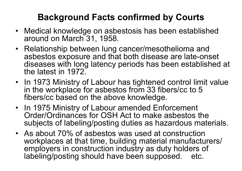## **Background Facts confirmed by Courts**

- Medical knowledge on asbestosis has been established around on March 31, 1958.
- Relationship between lung cancer/mesothelioma and asbestos exposure and that both disease are late-onset diseases with long latency periods has been established at the latest in 1972.
- In 1973 Ministry of Labour has tightened control limit value in the workplace for asbestos from 33 fibers/cc to 5 fibers/cc based on the above knowledge.
- In 1975 Ministry of Labour amended Enforcement Order/Ordinances for OSH Act to make asbestos the subjects of labeling/posting duties as hazardous materials.
- As about 70% of asbestos was used at construction workplaces at that time, building material manufacturers/ employers in construction industry as duty holders of labeling/posting should have been supposed. etc.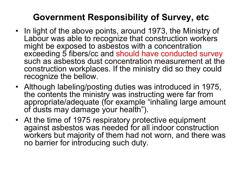#### **Government Responsibility of Survey, etc**

- In light of the above points, around 1973, the Ministry of Labour was able to recognize that construction workers might be exposed to asbestos with a concentration exceeding 5 fibers/cc and should have conducted survey such as asbestos dust concentration measurement at the construction workplaces. If the ministry did so they could recognize the bellow.
- Although labeling/posting duties was introduced in 1975, the contents the ministry was instructing were far from appropriate/adequate (for example "inhaling large amount of dusts may damage your health").
- At the time of 1975 respiratory protective equipment against asbestos was needed for all indoor construction workers but majority of them had not worn, and there was no barrier for introducing such duty.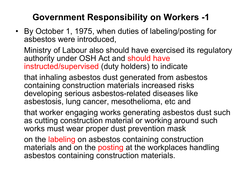## **Government Responsibility on Workers -1**

• By October 1, 1975, when duties of labeling/posting for asbestos were introduced,

Ministry of Labour also should have exercised its regulatory authority under OSH Act and should have instructed/supervised (duty holders) to indicate

that inhaling asbestos dust generated from asbestos containing construction materials increased risks developing serious asbestos-related diseases like asbestosis, lung cancer, mesothelioma, etc and

that worker engaging works generating asbestos dust such as cutting construction material or working around such works must wear proper dust prevention mask

on the labeling on asbestos containing construction materials and on the posting at the workplaces handling asbestos containing construction materials.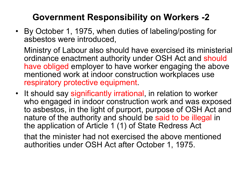## **Government Responsibility on Workers -2**

• By October 1, 1975, when duties of labeling/posting for asbestos were introduced,

Ministry of Labour also should have exercised its ministerial ordinance enactment authority under OSH Act and should have obliged employer to have worker engaging the above mentioned work at indoor construction workplaces use respiratory protective equipment.

• It should say significantly irrational, in relation to worker who engaged in indoor construction work and was exposed to asbestos, in the light of purport, purpose of OSH Act and nature of the authority and should be said to be illegal in the application of Article 1 (1) of State Redress Act

that the minister had not exercised the above mentioned authorities under OSH Act after October 1, 1975.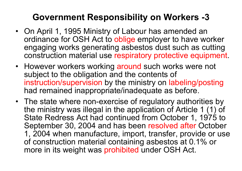#### **Government Responsibility on Workers -3**

- On April 1, 1995 Ministry of Labour has amended an ordinance for OSH Act to oblige employer to have worker engaging works generating asbestos dust such as cutting construction material use respiratory protective equipment.
- However workers working around such works were not subject to the obligation and the contents of instruction/supervision by the ministry on labeling/posting had remained inappropriate/inadequate as before.
- The state where non-exercise of regulatory authorities by the ministry was illegal in the application of Article 1 (1) of State Redress Act had continued from October 1, 1975 to September 30, 2004 and has been resolved after October 1, 2004 when manufacture, import, transfer, provide or use of construction material containing asbestos at 0.1% or more in its weight was prohibited under OSH Act.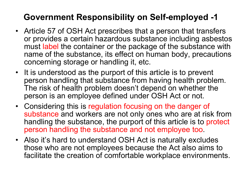#### **Government Responsibility on Self-employed -1**

- Article 57 of OSH Act prescribes that a person that transfers or provides a certain hazardous substance including asbestos must label the container or the package of the substance with name of the substance, its effect on human body, precautions concerning storage or handling it, etc.
- It is understood as the purport of this article is to prevent person handling that substance from having health problem. The risk of health problem doesn't depend on whether the person is an employee defined under OSH Act or not.
- Considering this is regulation focusing on the danger of substance and workers are not only ones who are at risk from handling the substance, the purport of this article is to protect person handling the substance and not employee too.
- Also it's hard to understand OSH Act is naturally excludes those who are not employees because the Act also aims to facilitate the creation of comfortable workplace environments.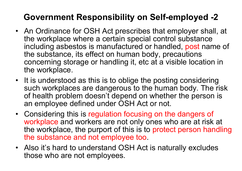#### **Government Responsibility on Self-employed -2**

- An Ordinance for OSH Act prescribes that employer shall, at the workplace where a certain special control substance including asbestos is manufactured or handled, post name of the substance, its effect on human body, precautions concerning storage or handling it, etc at a visible location in the workplace.
- It is understood as this is to oblige the posting considering such workplaces are dangerous to the human body. The risk of health problem doesn't depend on whether the person is an employee defined under OSH Act or not.
- Considering this is regulation focusing on the dangers of workplace and workers are not only ones who are at risk at the workplace, the purport of this is to protect person handling the substance and not employee too.
- Also it's hard to understand OSH Act is naturally excludes those who are not employees.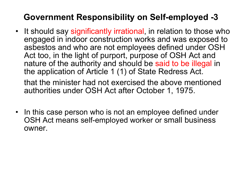#### **Government Responsibility on Self-employed -3**

• It should say significantly irrational, in relation to those who engaged in indoor construction works and was exposed to asbestos and who are not employees defined under OSH Act too, in the light of purport, purpose of OSH Act and nature of the authority and should be said to be illegal in the application of Article 1 (1) of State Redress Act.

that the minister had not exercised the above mentioned authorities under OSH Act after October 1, 1975.

• In this case person who is not an employee defined under OSH Act means self-employed worker or small business owner.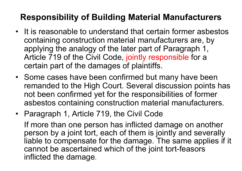#### **Responsibility of Building Material Manufacturers**

- It is reasonable to understand that certain former asbestos containing construction material manufacturers are, by applying the analogy of the later part of Paragraph 1, Article 719 of the Civil Code, jointly responsible for a certain part of the damages of plaintiffs.
- Some cases have been confirmed but many have been remanded to the High Court. Several discussion points has not been confirmed yet for the responsibilities of former asbestos containing construction material manufacturers.
- Paragraph 1, Article 719, the Civil Code If more than one person has inflicted damage on another person by a joint tort, each of them is jointly and severally liable to compensate for the damage. The same applies if it cannot be ascertained which of the joint tort-feasors inflicted the damage.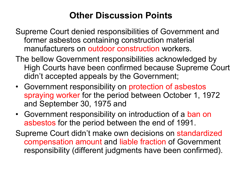#### **Other Discussion Points**

- Supreme Court denied responsibilities of Government and former asbestos containing construction material manufacturers on outdoor construction workers.
- The bellow Government responsibilities acknowledged by High Courts have been confirmed because Supreme Court didn't accepted appeals by the Government;
- Government responsibility on protection of asbestos spraying worker for the period between October 1, 1972 and September 30, 1975 and
- Government responsibility on introduction of a ban on asbestos for the period between the end of 1991.
- Supreme Court didn't make own decisions on standardized compensation amount and liable fraction of Government responsibility (different judgments have been confirmed).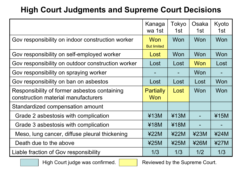#### **High Court Judgments and Supreme Court Decisions**

|                                                                                     | Kanaga<br>wa 1st                 | Tokyo<br>1st | Osaka<br>1st | Kyoto<br>1st |
|-------------------------------------------------------------------------------------|----------------------------------|--------------|--------------|--------------|
| Gov responsibility on indoor construction worker                                    | <b>Won</b><br><b>But limited</b> | Won          | Won          | Won          |
| Gov responsibility on self-employed worker                                          | Lost                             | Won          | Won          | Won          |
| Gov responsibility on outdoor construction worker                                   | Lost                             | Lost         | Won          | Lost         |
| Gov responsibility on spraying worker                                               |                                  |              | Won          |              |
| Gov responsibility on ban on asbestos                                               | Lost                             | Lost         | Lost         | Won          |
| Responsibility of former asbestos containing<br>construction material manufacturers | <b>Partially</b><br><b>Won</b>   | Lost         | Won          | Won          |
| Standardized compensation amount                                                    |                                  |              |              |              |
| Grade 2 asbestosis with complication                                                | ¥13M                             | ¥13M         |              | ¥15M         |
| Grade 3 asbestosis with complication                                                | ¥18M                             | ¥18M         |              |              |
| Meso, lung cancer, diffuse pleural thickening                                       | 422M                             | 422M         | 423M         | 424M         |
| Death due to the above                                                              | 425M                             | 425M         | 426M         | 427M         |
| Liable fraction of Gov responsibility                                               | 1/3                              | 1/3          | 1/2          | 1/3          |

High Court judge was confirmed. Reviewed by the Supreme Court.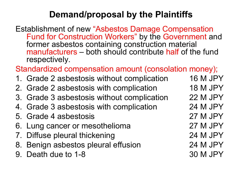#### **Demand/proposal by the Plaintiffs**

Establishment of new "Asbestos Damage Compensation Fund for Construction Workers" by the Government and former asbestos containing construction material manufacturers – both should contribute half of the fund respectively.

Standardized compensation amount (consolation money);

- 1. Grade 2 asbestosis without complication 16 M JPY
- 2. Grade 2 asbestosis with complication 18 M JPY
- 3. Grade 3 asbestosis without complication 22 M JPY
- 4. Grade 3 asbestosis with complication 24 M JPY
- 5. Grade 4 asbestosis 27 M JPY
- 6. Lung cancer or mesothelioma 27 M JPY
- 7. Diffuse pleural thickening 24 M JPY
- 8. Benign asbestos pleural effusion 24 M JPY
- 9. Death due to 1-8 30 M JPY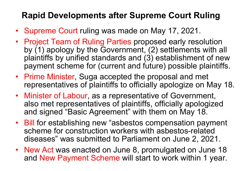#### **Rapid Developments after Supreme Court Ruling**

- Supreme Court ruling was made on May 17, 2021.
- Project Team of Ruling Parties proposed early resolution by (1) apology by the Government, (2) settlements with all plaintiffs by unified standards and (3) establishment of new payment scheme for (current and future) possible plaintiffs.
- Prime Minister, Suga accepted the proposal and met representatives of plaintiffs to officially apologize on May 18.
- Minister of Labour, as a representative of Government, also met representatives of plaintiffs, officially apologized and signed "Basic Agreement" with them on May 18.
- Bill for establishing new "asbestos compensation payment scheme for construction workers with asbestos-related diseases" was submitted to Parliament on June 2, 2021.
- New Act was enacted on June 8, promulgated on June 18 and New Payment Scheme will start to work within 1 year.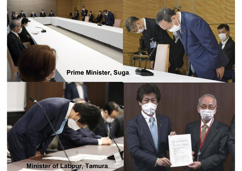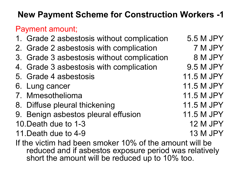#### **New Payment Scheme for Construction Workers -1**

#### Payment amount;

- 1. Grade 2 asbestosis without complication 5.5 M JPY
- 2. Grade 2 asbestosis with complication 7 M JPY
- 3. Grade 3 asbestosis without complication 8 M JPY
- 4. Grade 3 asbestosis with complication 9.5 M JPY
- 5. Grade 4 asbestosis 11.5 M JPY
- 6. Lung cancer 11.5 M JPY
- 7. Mmesothelioma 11.5 M JPY
- 8. Diffuse pleural thickening 11.5 M JPY
- 9. Benign asbestos pleural effusion 11.5 M JPY
- 10. Death due to 1-3 12 M JPY
- 11. Death due to 4-9 13 M JPY
- If the victim had been smoker 10% of the amount will be reduced and if asbestos exposure period was relatively short the amount will be reduced up to 10% too.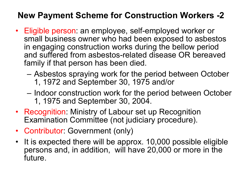#### **New Payment Scheme for Construction Workers -2**

- Eligible person: an employee, self-employed worker or small business owner who had been exposed to asbestos in engaging construction works during the bellow period and suffered from asbestos-related disease OR bereaved family if that person has been died.
	- Asbestos spraying work for the period between October 1, 1972 and September 30, 1975 and/or
	- Indoor construction work for the period between October 1, 1975 and September 30, 2004.
- Recognition: Ministry of Labour set up Recognition Examination Committee (not judiciary procedure).
- Contributor: Government (only)
- It is expected there will be approx. 10,000 possible eligible persons and, in addition, will have 20,000 or more in the future.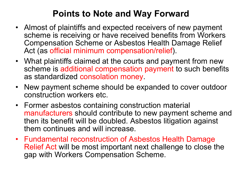#### **Points to Note and Way Forward**

- Almost of plaintiffs and expected receivers of new payment scheme is receiving or have received benefits from Workers Compensation Scheme or Asbestos Health Damage Relief Act (as official minimum compensation/relief).
- What plaintiffs claimed at the courts and payment from new scheme is additional compensation payment to such benefits as standardized consolation money.
- New payment scheme should be expanded to cover outdoor construction workers etc.
- Former asbestos containing construction material manufacturers should contribute to new payment scheme and then its benefit will be doubled. Asbestos litigation against them continues and will increase.
- Fundamental reconstruction of Asbestos Health Damage Relief Act will be most important next challenge to close the gap with Workers Compensation Scheme.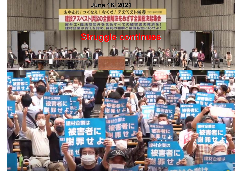**June 18, 2021<br>あやまれ!っくなえ!なくせ!アスペスト被害 acutemen** 建設アスベスト訴訟の全面解決をめざす全国総決起集会 岩の封道 任を認め、裁判の和解と補償基金に応せよ!

#### **Struggle continues Struggle continues**